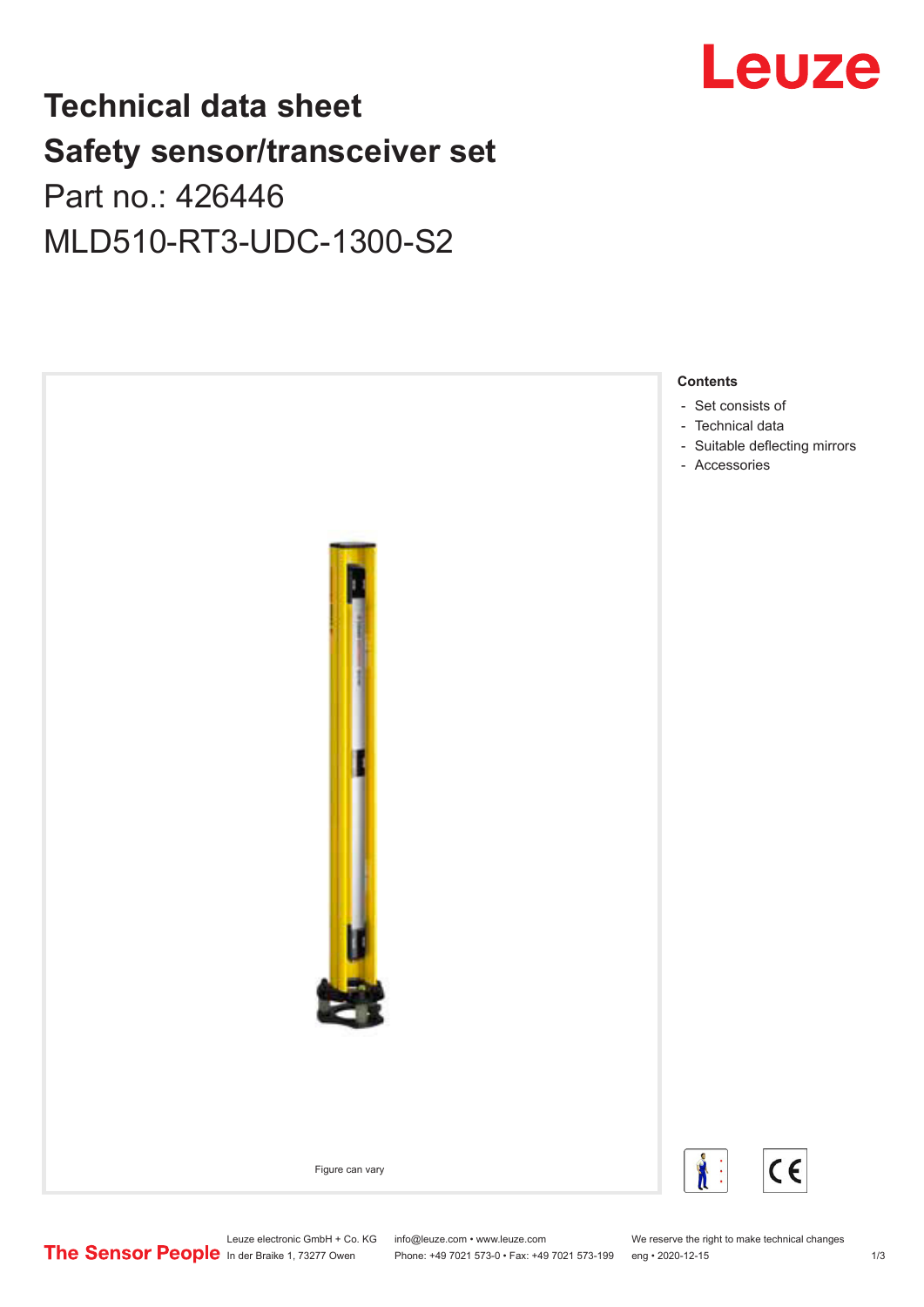

# **Technical data sheet Safety sensor/transceiver set**

Part no.: 426446 MLD510-RT3-UDC-1300-S2



Leuze electronic GmbH + Co. KG info@leuze.com • www.leuze.com We reserve the right to make technical changes<br>
The Sensor People in der Braike 1, 73277 Owen Phone: +49 7021 573-0 • Fax: +49 7021 573-199 eng • 2020-12-15 Phone: +49 7021 573-0 • Fax: +49 7021 573-199 eng • 2020-12-15 1 73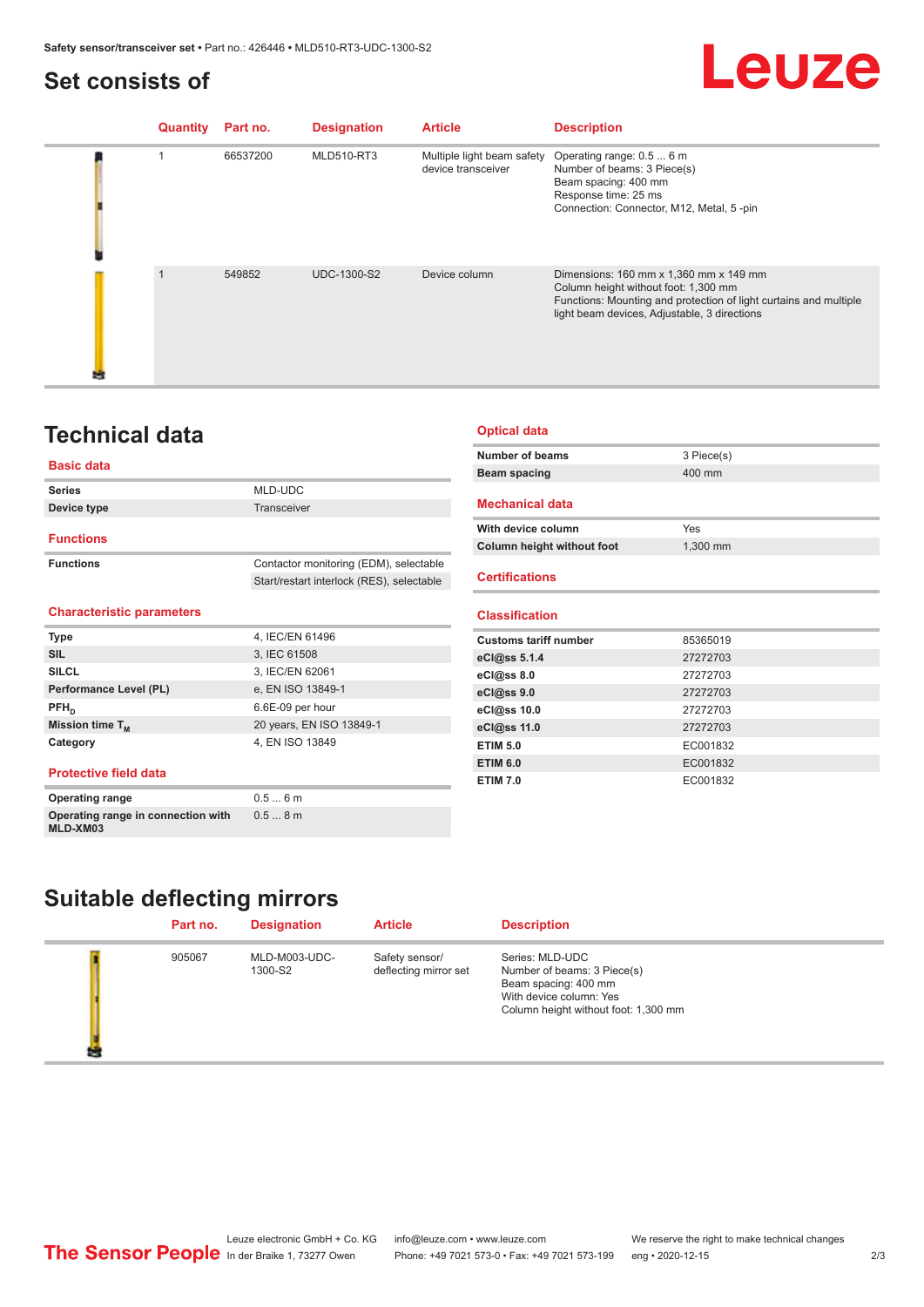## <span id="page-1-0"></span>**Set consists of**

# Leuze

| <b>Quantity</b> | Part no. | <b>Designation</b> | <b>Article</b>                                   | <b>Description</b>                                                                                                                                                                                  |
|-----------------|----------|--------------------|--------------------------------------------------|-----------------------------------------------------------------------------------------------------------------------------------------------------------------------------------------------------|
|                 | 66537200 | <b>MLD510-RT3</b>  | Multiple light beam safety<br>device transceiver | Operating range: 0.5  6 m<br>Number of beams: 3 Piece(s)<br>Beam spacing: 400 mm<br>Response time: 25 ms<br>Connection: Connector, M12, Metal, 5-pin                                                |
| $\mathbf 1$     | 549852   | <b>UDC-1300-S2</b> | Device column                                    | Dimensions: 160 mm x 1,360 mm x 149 mm<br>Column height without foot: 1,300 mm<br>Functions: Mounting and protection of light curtains and multiple<br>light beam devices, Adjustable, 3 directions |

## **Technical data**

#### **Basic data**

| <b>Series</b>    | MLD-UDC                                   |
|------------------|-------------------------------------------|
| Device type      | Transceiver                               |
| <b>Functions</b> |                                           |
| <b>Functions</b> | Contactor monitoring (EDM), selectable    |
|                  | Start/restart interlock (RES), selectable |
|                  |                                           |

#### **Characteristic parameters**

**Operating range in connection with** 

**MLD-XM03**

| <b>Type</b>                  | 4, IEC/EN 61496          |
|------------------------------|--------------------------|
| <b>SIL</b>                   | 3, IEC 61508             |
| <b>SILCL</b>                 | 3, IEC/EN 62061          |
| Performance Level (PL)       | e, EN ISO 13849-1        |
| $PFH_n$                      | 6.6E-09 per hour         |
| Mission time $T_M$           | 20 years, EN ISO 13849-1 |
| Category                     | 4, EN ISO 13849          |
| <b>Protective field data</b> |                          |
| <b>Operating range</b>       | 0.56m                    |

0.5 ... 8 m

#### **Optical data**

| Number of beams | 3 Piece(s) |
|-----------------|------------|
| Beam spacing    | 400 mm     |
|                 |            |

#### **Mechanical data**

| With device column         | Yes      |
|----------------------------|----------|
| Column height without foot | 1.300 mm |

#### **Certifications**

#### **Classification**

| <b>Customs tariff number</b> | 85365019 |
|------------------------------|----------|
| eCl@ss 5.1.4                 | 27272703 |
| eCl@ss 8.0                   | 27272703 |
| eCl@ss 9.0                   | 27272703 |
| eCl@ss 10.0                  | 27272703 |
| eCl@ss 11.0                  | 27272703 |
| <b>ETIM 5.0</b>              | EC001832 |
| <b>ETIM 6.0</b>              | EC001832 |
| <b>ETIM 7.0</b>              | EC001832 |
|                              |          |

## **Suitable deflecting mirrors**

| Part no. | <b>Designation</b>       | <b>Article</b>                          | <b>Description</b>                                                                                                                        |
|----------|--------------------------|-----------------------------------------|-------------------------------------------------------------------------------------------------------------------------------------------|
| 905067   | MLD-M003-UDC-<br>1300-S2 | Safety sensor/<br>deflecting mirror set | Series: MLD-UDC<br>Number of beams: 3 Piece(s)<br>Beam spacing: 400 mm<br>With device column: Yes<br>Column height without foot: 1,300 mm |